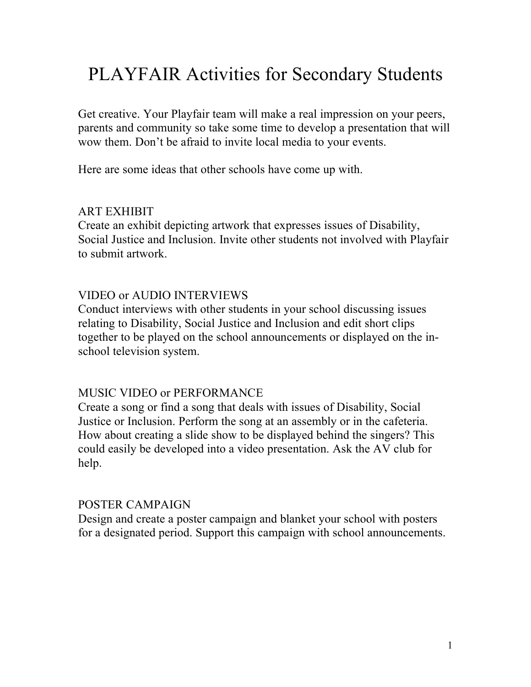# PLAYFAIR Activities for Secondary Students

Get creative. Your Playfair team will make a real impression on your peers, parents and community so take some time to develop a presentation that will wow them. Don't be afraid to invite local media to your events.

Here are some ideas that other schools have come up with.

#### ART EXHIBIT

Create an exhibit depicting artwork that expresses issues of Disability, Social Justice and Inclusion. Invite other students not involved with Playfair to submit artwork.

## VIDEO or AUDIO INTERVIEWS

Conduct interviews with other students in your school discussing issues relating to Disability, Social Justice and Inclusion and edit short clips together to be played on the school announcements or displayed on the inschool television system.

## MUSIC VIDEO or PERFORMANCE

Create a song or find a song that deals with issues of Disability, Social Justice or Inclusion. Perform the song at an assembly or in the cafeteria. How about creating a slide show to be displayed behind the singers? This could easily be developed into a video presentation. Ask the AV club for help.

#### POSTER CAMPAIGN

Design and create a poster campaign and blanket your school with posters for a designated period. Support this campaign with school announcements.